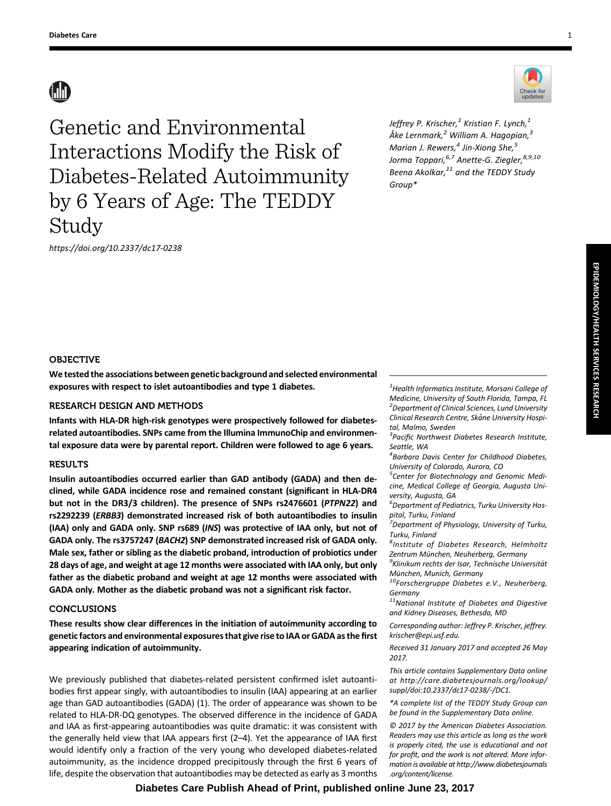Genetic and Environmental Interactions Modify the Risk of Diabetes-Related Autoimmunity by 6 Years of Age: The TEDDY Study

Jeffrey P. Krischer, $^{1}$  Kristian F. Lynch, $^{1}$ Åke Lernmark, $^2$  William A. Hagopian, $^3$ Marian J. Rewers, $<sup>4</sup>$  Jin-Xiong She, $<sup>5</sup>$ </sup></sup> Jorma Toppari, <sup>6,7</sup> Anette-G. Ziegler, <sup>8,9,10</sup> Beena Akolkar, $^{11}$  and the TEDDY Study Group\*



## OBJECTIVE

We tested the associations between genetic background and selected environmental exposures with respect to islet autoantibodies and type 1 diabetes.

# RESEARCH DESIGN AND METHODS

Infants with HLA-DR high-risk genotypes were prospectively followed for diabetesrelated autoantibodies. SNPs came from the Illumina ImmunoChip and environmental exposure data were by parental report. Children were followed to age 6 years.

## RESULTS

Insulin autoantibodies occurred earlier than GAD antibody (GADA) and then declined, while GADA incidence rose and remained constant (significant in HLA-DR4 but not in the DR3/3 children). The presence of SNPs rs2476601 (PTPN22) and rs2292239 (ERBB3) demonstrated increased risk of both autoantibodies to insulin (IAA) only and GADA only. SNP rs689 (INS) was protective of IAA only, but not of GADA only. The rs3757247 (BACH2) SNP demonstrated increased risk of GADA only. Male sex, father or sibling as the diabetic proband, introduction of probiotics under 28 days of age, and weight at age 12 months were associated with IAA only, but only father as the diabetic proband and weight at age 12 months were associated with GADA only. Mother as the diabetic proband was not a significant risk factor.

# **CONCLUSIONS**

These results show clear differences in the initiation of autoimmunity according to genetic factors and environmental exposures that give rise to IAA or GADA as the first appearing indication of autoimmunity.

We previously published that diabetes-related persistent confirmed islet autoantibodies first appear singly, with autoantibodies to insulin (IAA) appearing at an earlier age than GAD autoantibodies (GADA) (1). The order of appearance was shown to be related to HLA-DR-DQ genotypes. The observed difference in the incidence of GADA and IAA as first-appearing autoantibodies was quite dramatic: it was consistent with the generally held view that IAA appears first (2–4). Yet the appearance of IAA first would identify only a fraction of the very young who developed diabetes-related autoimmunity, as the incidence dropped precipitously through the first 6 years of life, despite the observation that autoantibodies may be detected as early as 3 months

 $^{1}$ Health Informatics Institute, Morsani College of Medicine, University of South Florida, Tampa, FL <sup>2</sup> Department of Clinical Sciences, Lund University Clinical Research Centre, Skåne University Hospital, Malmo, Sweden

<sup>3</sup> Pacific Northwest Diabetes Research Institute, Seattle, WA

4 Barbara Davis Center for Childhood Diabetes, University of Colorado, Aurora, CO

<sup>5</sup> Center for Biotechnology and Genomic Medicine, Medical College of Georgia, Augusta University, Augusta, GA

6 Department of Pediatrics, Turku University Hospital, Turku, Finland

<sup>.<br>7</sup> Department of Physiology, University of Turku, Turku, Finland

<sup>8</sup>Institute of Diabetes Research, Helmholtz Zentrum München, Neuherberg, Germany

<sup>9</sup>Klinikum rechts der Isar, Technische Universität München, Munich, Germany<br><sup>10</sup>Forschergruppe Diabetes e.V., Neuherberg,

Germany

 $11$ National Institute of Diabetes and Digestive and Kidney Diseases, Bethesda, MD

Corresponding author: Jeffrey P. Krischer, [jeffrey.](mailto:jeffrey.krischer@epi.usf.edu) [krischer@epi.usf.edu](mailto:jeffrey.krischer@epi.usf.edu).

Received 31 January 2017 and accepted 26 May 2017.

This article contains Supplementary Data online at [http://care.diabetesjournals.org/lookup/](http://care.diabetesjournals.org/lookup/suppl/doi:10.2337/dc17-0238/-/DC1) [suppl/doi:10.2337/dc17-0238/-/DC1.](http://care.diabetesjournals.org/lookup/suppl/doi:10.2337/dc17-0238/-/DC1)

\*A complete list of the TEDDY Study Group can be found in the [Supplementary Data](http://care.diabetesjournals.org/lookup/suppl/doi:10.2337/dc17-0238/-/DC1) online.

© 2017 by the American Diabetes Association. Readers may use this article as long as the work is properly cited, the use is educational and not for profit, and the work is not altered. More information is available at [http://www.diabetesjournals](http://www.diabetesjournals.org/content/license) [.org/content/license](http://www.diabetesjournals.org/content/license).

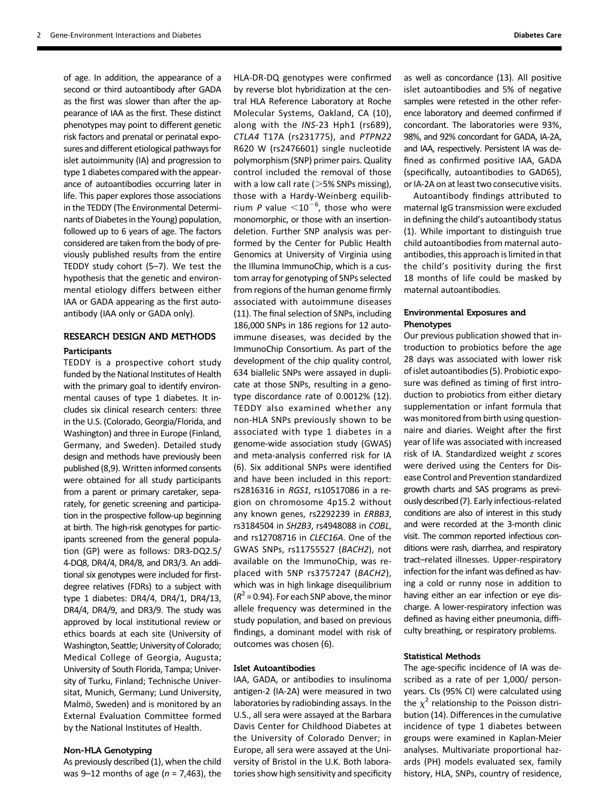of age. In addition, the appearance of a second or third autoantibody after GADA as the first was slower than after the appearance of IAA as the first. These distinct phenotypes may point to different genetic risk factors and prenatal or perinatal exposures and different etiological pathways for islet autoimmunity (IA) and progression to type 1 diabetes compared with the appearance of autoantibodies occurring later in life. This paper explores those associations in the TEDDY (The Environmental Determinants of Diabetes in the Young) population, followed up to 6 years of age. The factors considered are taken from the body of previously published results from the entire TEDDY study cohort (5–7). We test the hypothesis that the genetic and environmental etiology differs between either IAA or GADA appearing as the first autoantibody (IAA only or GADA only).

# RESEARCH DESIGN AND METHODS

## **Participants**

TEDDY is a prospective cohort study funded by the National Institutes of Health with the primary goal to identify environmental causes of type 1 diabetes. It includes six clinical research centers: three in the U.S. (Colorado, Georgia/Florida, and Washington) and three in Europe (Finland, Germany, and Sweden). Detailed study design and methods have previously been published (8,9). Written informed consents were obtained for all study participants from a parent or primary caretaker, separately, for genetic screening and participation in the prospective follow-up beginning at birth. The high-risk genotypes for participants screened from the general population (GP) were as follows: DR3-DQ2.5/ 4-DQ8, DR4/4, DR4/8, and DR3/3. An additional six genotypes were included for firstdegree relatives (FDRs) to a subject with type 1 diabetes: DR4/4, DR4/1, DR4/13, DR4/4, DR4/9, and DR3/9. The study was approved by local institutional review or ethics boards at each site (University of Washington, Seattle; University of Colorado; Medical College of Georgia, Augusta; University of South Florida, Tampa; University of Turku, Finland; Technische Universitat, Munich, Germany; Lund University, Malmö, Sweden) and is monitored by an External Evaluation Committee formed by the National Institutes of Health.

#### Non-HLA Genotyping

As previously described (1), when the child was 9–12 months of age ( $n = 7,463$ ), the HLA-DR-DQ genotypes were confirmed by reverse blot hybridization at the central HLA Reference Laboratory at Roche Molecular Systems, Oakland, CA (10), along with the INS-23 Hph1 (rs689), CTLA4 T17A (rs231775), and PTPN22 R620 W (rs2476601) single nucleotide polymorphism (SNP) primer pairs. Quality control included the removal of those with a low call rate ( $>5%$  SNPs missing), those with a Hardy-Weinberg equilibrium P value  $<$ 10<sup>-6</sup>, those who were monomorphic, or those with an insertiondeletion. Further SNP analysis was performed by the Center for Public Health Genomics at University of Virginia using the Illumina ImmunoChip, which is a custom array for genotyping of SNPs selected from regions of the human genome firmly associated with autoimmune diseases (11). The final selection of SNPs, including 186,000 SNPs in 186 regions for 12 autoimmune diseases, was decided by the ImmunoChip Consortium. As part of the development of the chip quality control, 634 biallelic SNPs were assayed in duplicate at those SNPs, resulting in a genotype discordance rate of 0.0012% (12). TEDDY also examined whether any non-HLA SNPs previously shown to be associated with type 1 diabetes in a genome-wide association study (GWAS) and meta-analysis conferred risk for IA (6). Six additional SNPs were identified and have been included in this report: rs2816316 in RGS1, rs10517086 in a region on chromosome 4p15.2 without any known genes, rs2292239 in ERBB3, rs3184504 in SH2B3, rs4948088 in COBL, and rs12708716 in CLEC16A. One of the GWAS SNPs, rs11755527 (BACH2), not available on the ImmunoChip, was replaced with SNP rs3757247 (BACH2), which was in high linkage disequilibrium  $(R^2 = 0.94)$ . For each SNP above, the minor allele frequency was determined in the study population, and based on previous findings, a dominant model with risk of outcomes was chosen (6).

#### Islet Autoantibodies

IAA, GADA, or antibodies to insulinoma antigen-2 (IA-2A) were measured in two laboratories by radiobinding assays. In the U.S., all sera were assayed at the Barbara Davis Center for Childhood Diabetes at the University of Colorado Denver; in Europe, all sera were assayed at the University of Bristol in the U.K. Both laboratories show high sensitivity and specificity as well as concordance (13). All positive islet autoantibodies and 5% of negative samples were retested in the other reference laboratory and deemed confirmed if concordant. The laboratories were 93%, 98%, and 92% concordant for GADA, IA-2A, and IAA, respectively. Persistent IA was defined as confirmed positive IAA, GADA (specifically, autoantibodies to GAD65), or IA-2A on at least two consecutive visits.

Autoantibody findings attributed to maternal IgG transmission were excluded in defining the child's autoantibody status (1). While important to distinguish true child autoantibodies from maternal autoantibodies, this approach is limited in that the child's positivity during the first 18 months of life could be masked by maternal autoantibodies.

## Environmental Exposures and Phenotypes

Our previous publication showed that introduction to probiotics before the age 28 days was associated with lower risk of islet autoantibodies (5). Probiotic exposure was defined as timing of first introduction to probiotics from either dietary supplementation or infant formula that was monitored from birth using questionnaire and diaries. Weight after the first year of life was associated with increased risk of IA. Standardized weight z scores were derived using the Centers for Disease Control and Prevention standardized growth charts and SAS programs as previously described (7). Early infectious-related conditions are also of interest in this study and were recorded at the 3-month clinic visit. The common reported infectious conditions were rash, diarrhea, and respiratory tract–related illnesses. Upper-respiratory infection for the infant was defined as having a cold or runny nose in addition to having either an ear infection or eye discharge. A lower-respiratory infection was defined as having either pneumonia, difficulty breathing, or respiratory problems.

## Statistical Methods

The age-specific incidence of IA was described as a rate of per 1,000/ personyears. CIs (95% CI) were calculated using the  $\chi^2$  relationship to the Poisson distribution (14). Differences in the cumulative incidence of type 1 diabetes between groups were examined in Kaplan-Meier analyses. Multivariate proportional hazards (PH) models evaluated sex, family history, HLA, SNPs, country of residence,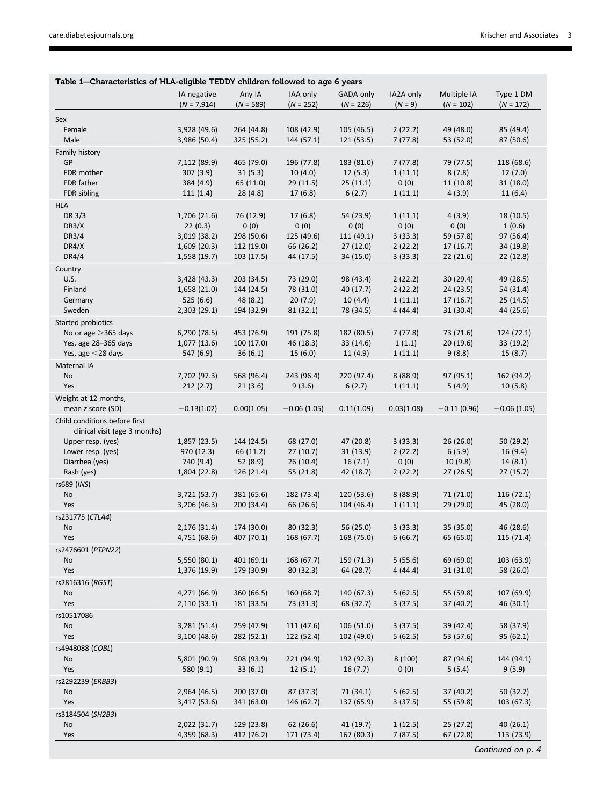ı

| Table 1-Characteristics of HLA-eligible TEDDY children followed to age 6 years |                          |                       |                      |                      |                    |                     |                       |  |  |
|--------------------------------------------------------------------------------|--------------------------|-----------------------|----------------------|----------------------|--------------------|---------------------|-----------------------|--|--|
|                                                                                | IA negative              | Any IA                | IAA only             | GADA only            | IA2A only          | Multiple IA         | Type 1 DM             |  |  |
|                                                                                | $(N = 7,914)$            | $(N = 589)$           | $(N = 252)$          | $(N = 226)$          | $(N = 9)$          | $(N = 102)$         | $(N = 172)$           |  |  |
| Sex                                                                            |                          |                       |                      |                      |                    |                     |                       |  |  |
| Female                                                                         | 3,928 (49.6)             | 264 (44.8)            | 108 (42.9)           | 105 (46.5)           | 2(22.2)            | 49 (48.0)           | 85 (49.4)             |  |  |
| Male                                                                           | 3,986 (50.4)             | 325 (55.2)            | 144 (57.1)           | 121 (53.5)           | 7(77.8)            | 53 (52.0)           | 87 (50.6)             |  |  |
| Family history                                                                 |                          |                       |                      |                      |                    |                     |                       |  |  |
| GP                                                                             | 7,112 (89.9)             | 465 (79.0)            | 196 (77.8)           | 183 (81.0)           | 7(77.8)            | 79 (77.5)           | 118 (68.6)            |  |  |
| FDR mother                                                                     | 307 (3.9)                | 31(5.3)               | 10(4.0)              | 12(5.3)              | 1(11.1)            | 8(7.8)              | 12(7.0)               |  |  |
| FDR father<br>FDR sibling                                                      | 384 (4.9)<br>111(1.4)    | 65 (11.0)<br>28(4.8)  | 29(11.5)<br>17(6.8)  | 25(11.1)<br>6(2.7)   | 0(0)<br>1(11.1)    | 11(10.8)<br>4(3.9)  | 31 (18.0)<br>11(6.4)  |  |  |
| <b>HLA</b>                                                                     |                          |                       |                      |                      |                    |                     |                       |  |  |
| DR 3/3                                                                         | 1,706 (21.6)             | 76 (12.9)             | 17(6.8)              | 54 (23.9)            | 1(11.1)            | 4(3.9)              | 18 (10.5)             |  |  |
| DR3/X                                                                          | 22(0.3)                  | 0(0)                  | 0(0)                 | 0(0)                 | 0(0)               | 0(0)                | 1(0.6)                |  |  |
| DR3/4                                                                          | 3,019(38.2)              | 298 (50.6)            | 125 (49.6)           | 111 (49.1)           | 3(33.3)            | 59 (57.8)           | 97 (56.4)             |  |  |
| DR4/X                                                                          | 1,609(20.3)              | 112 (19.0)            | 66 (26.2)            | 27(12.0)             | 2(22.2)            | 17(16.7)            | 34 (19.8)             |  |  |
| DR4/4                                                                          | 1,558(19.7)              | 103(17.5)             | 44 (17.5)            | 34 (15.0)            | 3(33.3)            | 22(21.6)            | 22 (12.8)             |  |  |
| Country                                                                        |                          |                       |                      |                      |                    |                     |                       |  |  |
| U.S.                                                                           | 3,428 (43.3)             | 203 (34.5)            | 73 (29.0)            | 98 (43.4)            | 2(22.2)            | 30(29.4)            | 49 (28.5)             |  |  |
| Finland                                                                        | 1,658(21.0)              | 144 (24.5)            | 78 (31.0)            | 40 (17.7)            | 2(22.2)            | 24(23.5)            | 54 (31.4)             |  |  |
| Germany                                                                        | 525 (6.6)                | 48 (8.2)              | 20(7.9)              | 10(4.4)              | 1(11.1)            | 17(16.7)            | 25(14.5)              |  |  |
| Sweden                                                                         | 2,303(29.1)              | 194 (32.9)            | 81 (32.1)            | 78 (34.5)            | 4(44.4)            | 31(30.4)            | 44 (25.6)             |  |  |
| Started probiotics                                                             |                          |                       |                      |                      |                    |                     |                       |  |  |
| No or age $>$ 365 days                                                         | 6,290(78.5)              | 453 (76.9)            | 191 (75.8)           | 182 (80.5)           | 7(77.8)            | 73 (71.6)           | 124 (72.1)            |  |  |
| Yes, age 28-365 days                                                           | 1,077(13.6)              | 100(17.0)             | 46 (18.3)            | 33 (14.6)            | 1(1.1)             | 20(19.6)            | 33 (19.2)             |  |  |
| Yes, age $<$ 28 days                                                           | 547 (6.9)                | 36(6.1)               | 15(6.0)              | 11(4.9)              | 1(11.1)            | 9(8.8)              | 15(8.7)               |  |  |
| Maternal IA                                                                    |                          |                       |                      |                      |                    |                     |                       |  |  |
| No<br>Yes                                                                      | 7,702 (97.3)<br>212(2.7) | 568 (96.4)<br>21(3.6) | 243 (96.4)<br>9(3.6) | 220 (97.4)<br>6(2.7) | 8(88.9)<br>1(11.1) | 97 (95.1)<br>5(4.9) | 162 (94.2)<br>10(5.8) |  |  |
|                                                                                |                          |                       |                      |                      |                    |                     |                       |  |  |
| Weight at 12 months,<br>mean z score (SD)                                      | $-0.13(1.02)$            | 0.00(1.05)            | $-0.06(1.05)$        | 0.11(1.09)           | 0.03(1.08)         | $-0.11(0.96)$       | $-0.06(1.05)$         |  |  |
| Child conditions before first                                                  |                          |                       |                      |                      |                    |                     |                       |  |  |
| clinical visit (age 3 months)                                                  |                          |                       |                      |                      |                    |                     |                       |  |  |
| Upper resp. (yes)                                                              | 1,857(23.5)              | 144 (24.5)            | 68 (27.0)            | 47 (20.8)            | 3(33.3)            | 26(26.0)            | 50 (29.2)             |  |  |
| Lower resp. (yes)                                                              | 970 (12.3)               | 66 (11.2)             | 27(10.7)             | 31(13.9)             | 2(22.2)            | 6(5.9)              | 16 (9.4)              |  |  |
| Diarrhea (yes)                                                                 | 740 (9.4)                | 52(8.9)               | 26 (10.4)            | 16(7.1)              | 0(0)               | 10(9.8)             | 14(8.1)               |  |  |
| Rash (yes)                                                                     | 1,804 (22.8)             | 126 (21.4)            | 55 (21.8)            | 42 (18.7)            | 2(22.2)            | 27(26.5)            | 27 (15.7)             |  |  |
| rs689 (INS)                                                                    |                          |                       |                      |                      |                    |                     |                       |  |  |
| No                                                                             | 3,721 (53.7)             | 381 (65.6)            | 182 (73.4)           | 120 (53.6)           | 8(88.9)            | 71 (71.0)           | 116 (72.1)            |  |  |
| Yes                                                                            | 3,206(46.3)              | 200 (34.4)            | 66 (26.6)            | 104 (46.4)           | 1(11.1)            | 29(29.0)            | 45 (28.0)             |  |  |
| rs231775 (CTLA4)                                                               |                          |                       |                      |                      |                    |                     |                       |  |  |
| No<br>Yes                                                                      | 2,176 (31.4)             | 174 (30.0)            | 80 (32.3)            | 56 (25.0)            | 3(33.3)            | 35 (35.0)           | 46 (28.6)             |  |  |
|                                                                                | 4,751 (68.6)             | 407 (70.1)            | 168 (67.7)           | 168 (75.0)           | 6(66.7)            | 65 (65.0)           | 115 (71.4)            |  |  |
| rs2476601 (PTPN22)<br>No                                                       | 5,550 (80.1)             | 401 (69.1)            | 168 (67.7)           | 159 (71.3)           | 5(55.6)            | 69 (69.0)           | 103 (63.9)            |  |  |
| Yes                                                                            | 1,376 (19.9)             | 179 (30.9)            | 80 (32.3)            | 64 (28.7)            | 4(44.4)            | 31(31.0)            | 58 (26.0)             |  |  |
| rs2816316 (RGS1)                                                               |                          |                       |                      |                      |                    |                     |                       |  |  |
| No                                                                             | 4,271 (66.9)             | 360 (66.5)            | 160 (68.7)           | 140 (67.3)           | 5(62.5)            | 55 (59.8)           | 107 (69.9)            |  |  |
| Yes                                                                            | 2,110(33.1)              | 181 (33.5)            | 73 (31.3)            | 68 (32.7)            | 3(37.5)            | 37 (40.2)           | 46 (30.1)             |  |  |
| rs10517086                                                                     |                          |                       |                      |                      |                    |                     |                       |  |  |
| No                                                                             | 3,281 (51.4)             | 259 (47.9)            | 111 (47.6)           | 106 (51.0)           | 3(37.5)            | 39 (42.4)           | 58 (37.9)             |  |  |
| Yes                                                                            | 3,100(48.6)              | 282 (52.1)            | 122 (52.4)           | 102 (49.0)           | 5(62.5)            | 53 (57.6)           | 95 (62.1)             |  |  |
| rs4948088 (COBL)                                                               |                          |                       |                      |                      |                    |                     |                       |  |  |
| No                                                                             | 5,801 (90.9)             | 508 (93.9)            | 221 (94.9)           | 192 (92.3)           | 8(100)             | 87 (94.6)           | 144 (94.1)            |  |  |
| Yes                                                                            | 580 (9.1)                | 33(6.1)               | 12(5.1)              | 16(7.7)              | 0(0)               | 5(5.4)              | 9(5.9)                |  |  |
| rs2292239 (ERBB3)                                                              |                          |                       |                      |                      |                    |                     |                       |  |  |
| No                                                                             | 2,964 (46.5)             | 200 (37.0)            | 87 (37.3)            | 71 (34.1)            | 5(62.5)            | 37 (40.2)           | 50 (32.7)             |  |  |
| Yes                                                                            | 3,417 (53.6)             | 341 (63.0)            | 146 (62.7)           | 137 (65.9)           | 3(37.5)            | 55 (59.8)           | 103 (67.3)            |  |  |
| rs3184504 (SH2B3)                                                              |                          |                       |                      |                      |                    |                     |                       |  |  |
| No                                                                             | 2,022 (31.7)             | 129 (23.8)            | 62(26.6)             | 41 (19.7)            | 1(12.5)            | 25(27.2)            | 40(26.1)              |  |  |
| Yes                                                                            | 4,359 (68.3)             | 412 (76.2)            | 171 (73.4)           | 167 (80.3)           | 7(87.5)            | 67 (72.8)           | 113 (73.9)            |  |  |
|                                                                                |                          |                       |                      |                      |                    |                     | Continued on p. 4     |  |  |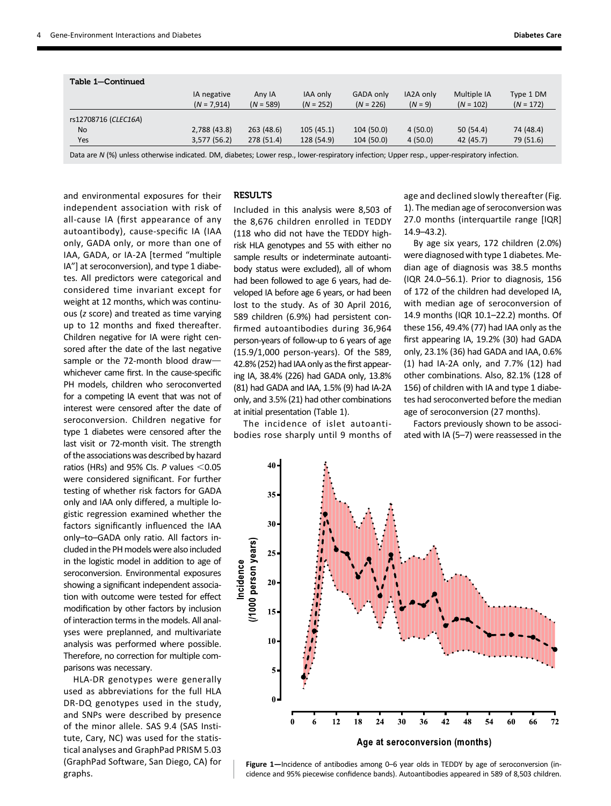| Table 1-Continued                                                                                                                                                                                                               |                              |                       |                                |                                                                                                                                                                                                                                 |                        |                            |                          |
|---------------------------------------------------------------------------------------------------------------------------------------------------------------------------------------------------------------------------------|------------------------------|-----------------------|--------------------------------|---------------------------------------------------------------------------------------------------------------------------------------------------------------------------------------------------------------------------------|------------------------|----------------------------|--------------------------|
|                                                                                                                                                                                                                                 | IA negative<br>$(N = 7,914)$ | Any IA<br>$(N = 589)$ | <b>IAA only</b><br>$(N = 252)$ | GADA only<br>$(N = 226)$                                                                                                                                                                                                        | IA2A only<br>$(N = 9)$ | Multiple IA<br>$(N = 102)$ | Type 1 DM<br>$(N = 172)$ |
| rs12708716 (CLEC16A)                                                                                                                                                                                                            |                              |                       |                                |                                                                                                                                                                                                                                 |                        |                            |                          |
| No                                                                                                                                                                                                                              | 2,788 (43.8)                 | 263(48.6)             | 105(45.1)                      | 104 (50.0)                                                                                                                                                                                                                      | 4(50.0)                | 50(54.4)                   | 74 (48.4)                |
| Yes                                                                                                                                                                                                                             | 3,577(56.2)                  | 278 (51.4)            | 128 (54.9)                     | 104 (50.0)                                                                                                                                                                                                                      | 4(50.0)                | 42 (45.7)                  | 79 (51.6)                |
| $\sim$ . The contract of the contract of the contract of the contract of the contract of the contract of the contract of the contract of the contract of the contract of the contract of the contract of the contract of the co |                              |                       |                                | $\sim$ . The contract of the contract of the contract of the contract of the contract of the contract of the contract of the contract of the contract of the contract of the contract of the contract of the contract of the co |                        | .                          |                          |

Data are N (%) unless otherwise indicated. DM, diabetes; Lower resp., lower-respiratory infection; Upper resp., upper-respiratory infection.

and environmental exposures for their independent association with risk of all-cause IA (first appearance of any autoantibody), cause-specific IA (IAA only, GADA only, or more than one of IAA, GADA, or IA-2A [termed "multiple IA"] at seroconversion), and type 1 diabetes. All predictors were categorical and considered time invariant except for weight at 12 months, which was continuous (z score) and treated as time varying up to 12 months and fixed thereafter. Children negative for IA were right censored after the date of the last negative sample or the 72-month blood drawwhichever came first. In the cause-specific PH models, children who seroconverted for a competing IA event that was not of interest were censored after the date of seroconversion. Children negative for type 1 diabetes were censored after the last visit or 72-month visit. The strength of the associations was described by hazard ratios (HRs) and 95% CIs.  $P$  values <0.05 were considered significant. For further testing of whether risk factors for GADA only and IAA only differed, a multiple logistic regression examined whether the factors significantly influenced the IAA only–to–GADA only ratio. All factors included in the PH models were also included in the logistic model in addition to age of seroconversion. Environmental exposures showing a significant independent association with outcome were tested for effect modification by other factors by inclusion of interaction terms in the models. All analyses were preplanned, and multivariate analysis was performed where possible. Therefore, no correction for multiple comparisons was necessary.

HLA-DR genotypes were generally used as abbreviations for the full HLA DR-DQ genotypes used in the study, and SNPs were described by presence of the minor allele. SAS 9.4 (SAS Institute, Cary, NC) was used for the statistical analyses and GraphPad PRISM 5.03 (GraphPad Software, San Diego, CA) for graphs.

## **RESULTS**

Included in this analysis were 8,503 of the 8,676 children enrolled in TEDDY (118 who did not have the TEDDY highrisk HLA genotypes and 55 with either no sample results or indeterminate autoantibody status were excluded), all of whom had been followed to age 6 years, had developed IA before age 6 years, or had been lost to the study. As of 30 April 2016, 589 children (6.9%) had persistent confirmed autoantibodies during 36,964 person-years of follow-up to 6 years of age (15.9/1,000 person-years). Of the 589, 42.8% (252) had IAA only as the first appearing IA, 38.4% (226) had GADA only, 13.8% (81) had GADA and IAA, 1.5% (9) had IA-2A only, and 3.5% (21) had other combinations at initial presentation (Table 1).

The incidence of islet autoantibodies rose sharply until 9 months of age and declined slowly thereafter (Fig. 1). The median age of seroconversion was 27.0 months (interquartile range [IQR] 14.9–43.2).

By age six years, 172 children (2.0%) were diagnosed with type 1 diabetes. Median age of diagnosis was 38.5 months (IQR 24.0–56.1). Prior to diagnosis, 156 of 172 of the children had developed IA, with median age of seroconversion of 14.9 months (IQR 10.1–22.2) months. Of these 156, 49.4% (77) had IAA only as the first appearing IA, 19.2% (30) had GADA only, 23.1% (36) had GADA and IAA, 0.6% (1) had IA-2A only, and 7.7% (12) had other combinations. Also, 82.1% (128 of 156) of children with IA and type 1 diabetes had seroconverted before the median age of seroconversion (27 months).

Factors previously shown to be associated with IA (5–7) were reassessed in the



Figure 1—Incidence of antibodies among 0–6 year olds in TEDDY by age of seroconversion (incidence and 95% piecewise confidence bands). Autoantibodies appeared in 589 of 8,503 children.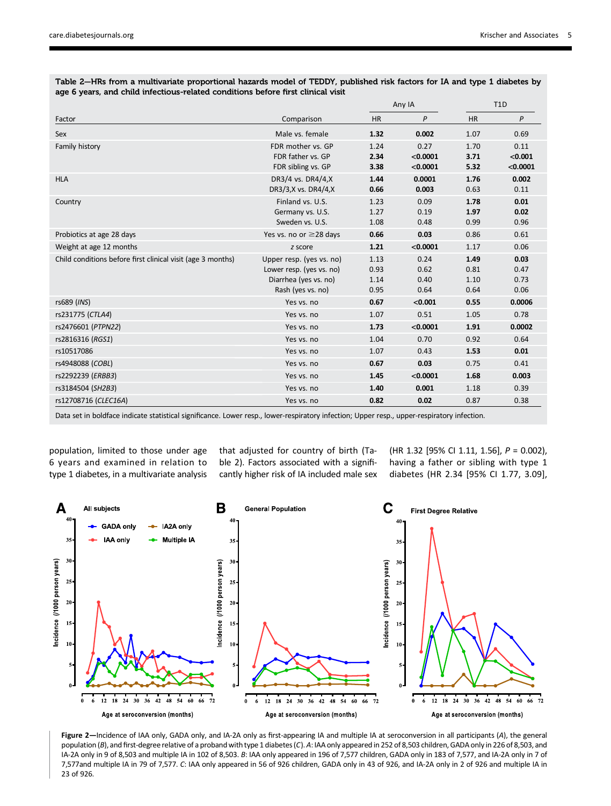Table 2—HRs from a multivariate proportional hazards model of TEDDY, published risk factors for IA and type 1 diabetes by age 6 years, and child infectious-related conditions before first clinical visit

|                                                             |                              | Any IA    |          | T <sub>1</sub> D |              |
|-------------------------------------------------------------|------------------------------|-----------|----------|------------------|--------------|
| Factor                                                      | Comparison                   | <b>HR</b> | P        | <b>HR</b>        | $\mathsf{P}$ |
| Sex                                                         | Male vs. female              | 1.32      | 0.002    | 1.07             | 0.69         |
| Family history                                              | FDR mother vs. GP            | 1.24      | 0.27     | 1.70             | 0.11         |
|                                                             | FDR father vs. GP            | 2.34      | < 0.0001 | 3.71             | < 0.001      |
|                                                             | FDR sibling vs. GP           | 3.38      | < 0.0001 | 5.32             | < 0.0001     |
| <b>HLA</b>                                                  | DR3/4 vs. DR4/4,X            | 1.44      | 0.0001   | 1.76             | 0.002        |
|                                                             | DR3/3,X vs. DR4/4,X          | 0.66      | 0.003    | 0.63             | 0.11         |
| Country                                                     | Finland vs. U.S.             | 1.23      | 0.09     | 1.78             | 0.01         |
|                                                             | Germany vs. U.S.             | 1.27      | 0.19     | 1.97             | 0.02         |
|                                                             | Sweden vs. U.S.              | 1.08      | 0.48     | 0.99             | 0.96         |
| Probiotics at age 28 days                                   | Yes vs. no or $\geq$ 28 days | 0.66      | 0.03     | 0.86             | 0.61         |
| Weight at age 12 months                                     | z score                      | 1.21      | < 0.0001 | 1.17             | 0.06         |
| Child conditions before first clinical visit (age 3 months) | Upper resp. (yes vs. no)     | 1.13      | 0.24     | 1.49             | 0.03         |
|                                                             | Lower resp. (yes vs. no)     | 0.93      | 0.62     | 0.81             | 0.47         |
|                                                             | Diarrhea (yes vs. no)        | 1.14      | 0.40     | 1.10             | 0.73         |
|                                                             | Rash (yes vs. no)            | 0.95      | 0.64     | 0.64             | 0.06         |
| rs689 (INS)                                                 | Yes vs. no                   | 0.67      | < 0.001  | 0.55             | 0.0006       |
| rs231775 (CTLA4)                                            | Yes vs. no                   | 1.07      | 0.51     | 1.05             | 0.78         |
| rs2476601 (PTPN22)                                          | Yes vs. no                   | 1.73      | < 0.0001 | 1.91             | 0.0002       |
| rs2816316 (RGS1)                                            | Yes vs. no                   | 1.04      | 0.70     | 0.92             | 0.64         |
| rs10517086                                                  | Yes vs. no                   | 1.07      | 0.43     | 1.53             | 0.01         |
| rs4948088 (COBL)                                            | Yes vs. no                   | 0.67      | 0.03     | 0.75             | 0.41         |
| rs2292239 (ERBB3)                                           | Yes vs. no                   | 1.45      | < 0.0001 | 1.68             | 0.003        |
| rs3184504 (SH2B3)                                           | Yes vs. no                   | 1.40      | 0.001    | 1.18             | 0.39         |
| rs12708716 (CLEC16A)                                        | Yes vs. no                   | 0.82      | 0.02     | 0.87             | 0.38         |

Data set in boldface indicate statistical significance. Lower resp., lower-respiratory infection; Upper resp., upper-respiratory infection.

population, limited to those under age 6 years and examined in relation to type 1 diabetes, in a multivariate analysis that adjusted for country of birth (Table 2). Factors associated with a significantly higher risk of IA included male sex (HR 1.32 [95% CI 1.11, 1.56], P = 0.002), having a father or sibling with type 1 diabetes (HR 2.34 [95% CI 1.77, 3.09],



Figure 2—Incidence of IAA only, GADA only, and IA-2A only as first-appearing IA and multiple IA at seroconversion in all participants (A), the general population (B), and first-degree relative of a proband with type 1 diabetes (C). A: IAA only appeared in 252 of 8,503 children, GADA only in 226 of 8,503, and IA-2A only in 9 of 8,503 and multiple IA in 102 of 8,503. B: IAA only appeared in 196 of 7,577 children, GADA only in 183 of 7,577, and IA-2A only in 7 of 7,577and multiple IA in 79 of 7,577. C: IAA only appeared in 56 of 926 children, GADA only in 43 of 926, and IA-2A only in 2 of 926 and multiple IA in 23 of 926.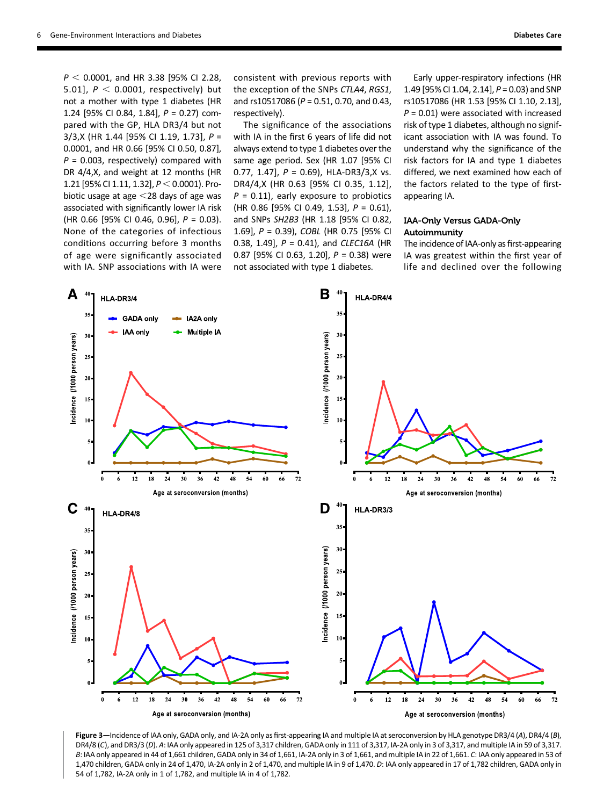$P < 0.0001$ , and HR 3.38 [95% CI 2.28, 5.01],  $P < 0.0001$ , respectively) but not a mother with type 1 diabetes (HR 1.24 [95% CI 0.84, 1.84], P = 0.27) compared with the GP, HLA DR3/4 but not 3/3,X (HR 1.44 [95% CI 1.19, 1.73], P = 0.0001, and HR 0.66 [95% CI 0.50, 0.87],  $P = 0.003$ , respectively) compared with DR 4/4,X, and weight at 12 months (HR 1.21 [95% CI 1.11, 1.32],  $P < 0.0001$ ). Probiotic usage at age  $<$ 28 days of age was associated with significantly lower IA risk (HR 0.66 [95% CI 0.46, 0.96], P = 0.03). None of the categories of infectious conditions occurring before 3 months of age were significantly associated with IA. SNP associations with IA were

consistent with previous reports with the exception of the SNPs CTLA4, RGS1, and rs10517086 (P = 0.51, 0.70, and 0.43, respectively).

The significance of the associations with IA in the first 6 years of life did not always extend to type 1 diabetes over the same age period. Sex (HR 1.07 [95% CI 0.77, 1.47],  $P = 0.69$ ), HLA-DR3/3,X vs. DR4/4,X (HR 0.63 [95% CI 0.35, 1.12],  $P = 0.11$ , early exposure to probiotics (HR 0.86 [95% CI 0.49, 1.53], P = 0.61), and SNPs SH2B3 (HR 1.18 [95% CI 0.82, 1.69], P = 0.39), COBL (HR 0.75 [95% CI 0.38, 1.49],  $P = 0.41$ ), and CLEC16A (HR 0.87 [95% CI 0.63, 1.20],  $P = 0.38$ ) were not associated with type 1 diabetes.

Early upper-respiratory infections (HR 1.49 [95% CI 1.04, 2.14], P = 0.03) and SNP rs10517086 (HR 1.53 [95% CI 1.10, 2.13],  $P = 0.01$ ) were associated with increased risk of type 1 diabetes, although no significant association with IA was found. To understand why the significance of the risk factors for IA and type 1 diabetes differed, we next examined how each of the factors related to the type of firstappearing IA.

# IAA-Only Versus GADA-Only Autoimmunity

The incidence of IAA-only as first-appearing IA was greatest within the first year of life and declined over the following



Figure 3—Incidence of IAA only, GADA only, and IA-2A only as first-appearing IA and multiple IA at seroconversion by HLA genotype DR3/4 (A), DR4/4 (B), DR4/8 (C), and DR3/3 (D). A: IAA only appeared in 125 of 3,317 children, GADA only in 111 of 3,317, IA-2A only in 3 of 3,317, and multiple IA in 59 of 3,317. B: IAA only appeared in 44 of 1,661 children, GADA only in 34 of 1,661, IA-2A only in 3 of 1,661, and multiple IA in 22 of 1,661. C: IAA only appeared in 53 of 1,470 children, GADA only in 24 of 1,470, IA-2A only in 2 of 1,470, and multiple IA in 9 of 1,470. D: IAA only appeared in 17 of 1,782 children, GADA only in 54 of 1,782, IA-2A only in 1 of 1,782, and multiple IA in 4 of 1,782.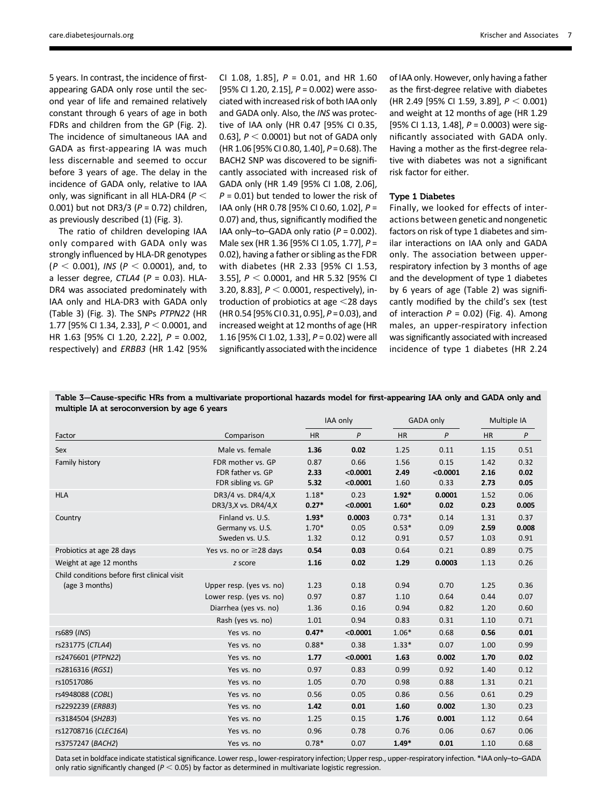5 years. In contrast, the incidence of firstappearing GADA only rose until the second year of life and remained relatively constant through 6 years of age in both FDRs and children from the GP (Fig. 2). The incidence of simultaneous IAA and GADA as first-appearing IA was much less discernable and seemed to occur before 3 years of age. The delay in the incidence of GADA only, relative to IAA only, was significant in all HLA-DR4 ( $P <$ 0.001) but not DR3/3 ( $P = 0.72$ ) children, as previously described (1) (Fig. 3).

The ratio of children developing IAA only compared with GADA only was strongly influenced by HLA-DR genotypes  $(P < 0.001)$ , INS (P < 0.0001), and, to a lesser degree,  $CTLA4$  ( $P = 0.03$ ). HLA-DR4 was associated predominately with IAA only and HLA-DR3 with GADA only (Table 3) (Fig. 3). The SNPs PTPN22 (HR 1.77 [95% CI 1.34, 2.33],  $P < 0.0001$ , and HR 1.63 [95% CI 1.20, 2.22], P = 0.002, respectively) and ERBB3 (HR 1.42 [95%

CI 1.08, 1.85],  $P = 0.01$ , and HR 1.60 [95% CI 1.20, 2.15],  $P = 0.002$ ) were associated with increased risk of both IAA only and GADA only. Also, the INS was protective of IAA only (HR 0.47 [95% CI 0.35, 0.63],  $P < 0.0001$ ) but not of GADA only (HR 1.06 [95% CI 0.80, 1.40], P = 0.68). The BACH2 SNP was discovered to be significantly associated with increased risk of GADA only (HR 1.49 [95% CI 1.08, 2.06],  $P = 0.01$ ) but tended to lower the risk of IAA only (HR 0.78 [95% CI 0.60, 1.02], P = 0.07) and, thus, significantly modified the IAA only-to-GADA only ratio ( $P = 0.002$ ). Male sex (HR 1.36 [95% CI 1.05, 1.77], P = 0.02), having a father or sibling as the FDR with diabetes (HR 2.33 [95% CI 1.53, 3.55],  $P < 0.0001$ , and HR 5.32 [95% CI 3.20, 8.83],  $P < 0.0001$ , respectively), introduction of probiotics at age  $<$  28 days (HR 0.54 [95% CI 0.31, 0.95], P = 0.03), and increased weight at 12 months of age (HR 1.16 [95% CI 1.02, 1.33], P = 0.02) were all significantly associated with the incidence of IAA only. However, only having a father as the first-degree relative with diabetes (HR 2.49 [95% CI 1.59, 3.89],  $P < 0.001$ ) and weight at 12 months of age (HR 1.29 [95% CI 1.13, 1.48],  $P = 0.0003$ ) were significantly associated with GADA only. Having a mother as the first-degree relative with diabetes was not a significant risk factor for either.

### Type 1 Diabetes

Finally, we looked for effects of interactions between genetic and nongenetic factors on risk of type 1 diabetes and similar interactions on IAA only and GADA only. The association between upperrespiratory infection by 3 months of age and the development of type 1 diabetes by 6 years of age (Table 2) was significantly modified by the child's sex (test of interaction  $P = 0.02$ ) (Fig. 4). Among males, an upper-respiratory infection was significantly associated with increased incidence of type 1 diabetes (HR 2.24

Table 3—Cause-specific HRs from a multivariate proportional hazards model for first-appearing IAA only and GADA only and multiple IA at seroconversion by age 6 years

|                                                                |                                                                               | IAA only                   |                              | GADA only                  |                          | Multiple IA          |                       |
|----------------------------------------------------------------|-------------------------------------------------------------------------------|----------------------------|------------------------------|----------------------------|--------------------------|----------------------|-----------------------|
| Factor                                                         | Comparison                                                                    | <b>HR</b>                  | P                            | <b>HR</b>                  | $\mathsf{P}$             | <b>HR</b>            | $\mathsf{P}$          |
| Sex                                                            | Male vs. female                                                               | 1.36                       | 0.02                         | 1.25                       | 0.11                     | 1.15                 | 0.51                  |
| Family history                                                 | FDR mother vs. GP<br>FDR father vs. GP<br>FDR sibling vs. GP                  | 0.87<br>2.33<br>5.32       | 0.66<br>< 0.0001<br>< 0.0001 | 1.56<br>2.49<br>1.60       | 0.15<br>< 0.0001<br>0.33 | 1.42<br>2.16<br>2.73 | 0.32<br>0.02<br>0.05  |
| <b>HLA</b>                                                     | DR3/4 vs. DR4/4.X<br>DR3/3,X vs. DR4/4,X                                      | $1.18*$<br>$0.27*$         | 0.23<br>< 0.0001             | $1.92*$<br>$1.60*$         | 0.0001<br>0.02           | 1.52<br>0.23         | 0.06<br>0.005         |
| Country                                                        | Finland vs. U.S.<br>Germany vs. U.S.<br>Sweden vs. U.S.                       | $1.93*$<br>$1.70*$<br>1.32 | 0.0003<br>0.05<br>0.12       | $0.73*$<br>$0.53*$<br>0.91 | 0.14<br>0.09<br>0.57     | 1.31<br>2.59<br>1.03 | 0.37<br>0.008<br>0.91 |
| Probiotics at age 28 days                                      | Yes vs. no or ≥28 days                                                        | 0.54                       | 0.03                         | 0.64                       | 0.21                     | 0.89                 | 0.75                  |
| Weight at age 12 months                                        | z score                                                                       | 1.16                       | 0.02                         | 1.29                       | 0.0003                   | 1.13                 | 0.26                  |
| Child conditions before first clinical visit<br>(age 3 months) | Upper resp. (yes vs. no)<br>Lower resp. (yes vs. no)<br>Diarrhea (yes vs. no) | 1.23<br>0.97<br>1.36       | 0.18<br>0.87<br>0.16         | 0.94<br>1.10<br>0.94       | 0.70<br>0.64<br>0.82     | 1.25<br>0.44<br>1.20 | 0.36<br>0.07<br>0.60  |
|                                                                | Rash (yes vs. no)                                                             | 1.01                       | 0.94                         | 0.83                       | 0.31                     | 1.10                 | 0.71                  |
| rs689 (INS)                                                    | Yes vs. no                                                                    | $0.47*$                    | < 0.0001                     | $1.06*$                    | 0.68                     | 0.56                 | 0.01                  |
| rs231775 (CTLA4)                                               | Yes vs. no                                                                    | $0.88*$                    | 0.38                         | $1.33*$                    | 0.07                     | 1.00                 | 0.99                  |
| rs2476601 (PTPN22)                                             | Yes vs. no                                                                    | 1.77                       | < 0.0001                     | 1.63                       | 0.002                    | 1.70                 | 0.02                  |
| rs2816316 (RGS1)                                               | Yes vs. no                                                                    | 0.97                       | 0.83                         | 0.99                       | 0.92                     | 1.40                 | 0.12                  |
| rs10517086                                                     | Yes vs. no                                                                    | 1.05                       | 0.70                         | 0.98                       | 0.88                     | 1.31                 | 0.21                  |
| rs4948088 (COBL)                                               | Yes vs. no                                                                    | 0.56                       | 0.05                         | 0.86                       | 0.56                     | 0.61                 | 0.29                  |
| rs2292239 (ERBB3)                                              | Yes vs. no                                                                    | 1.42                       | 0.01                         | 1.60                       | 0.002                    | 1.30                 | 0.23                  |
| rs3184504 (SH2B3)                                              | Yes vs. no                                                                    | 1.25                       | 0.15                         | 1.76                       | 0.001                    | 1.12                 | 0.64                  |
| rs12708716 (CLEC16A)                                           | Yes vs. no                                                                    | 0.96                       | 0.78                         | 0.76                       | 0.06                     | 0.67                 | 0.06                  |
| rs3757247 (BACH2)                                              | Yes vs. no                                                                    | $0.78*$                    | 0.07                         | $1.49*$                    | 0.01                     | 1.10                 | 0.68                  |

Data set in boldface indicate statistical significance. Lower resp., lower-respiratory infection; Upper resp., upper-respiratory infection. \*IAA only–to–GADA only ratio significantly changed ( $P < 0.05$ ) by factor as determined in multivariate logistic regression.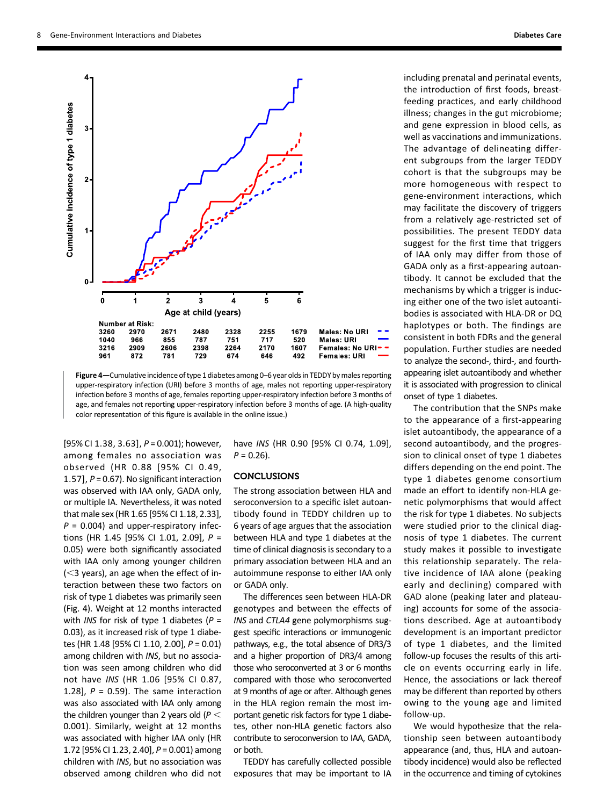

Figure 4—Cumulative incidence of type 1 diabetes among 0–6 year olds in TEDDY by males reporting upper-respiratory infection (URI) before 3 months of age, males not reporting upper-respiratory infection before 3 months of age, females reporting upper-respiratory infection before 3 months of age, and females not reporting upper-respiratory infection before 3 months of age. (A high-quality color representation of this figure is available in the online issue.)

[95% CI 1.38, 3.63],  $P = 0.001$ ); however, among females no association was observed (HR 0.88 [95% CI 0.49, 1.57],  $P = 0.67$ ). No significant interaction was observed with IAA only, GADA only, or multiple IA. Nevertheless, it was noted that male sex (HR 1.65 [95% CI 1.18, 2.33],  $P = 0.004$ ) and upper-respiratory infections (HR 1.45 [95% CI 1.01, 2.09], P = 0.05) were both significantly associated with IAA only among younger children  $(<$ 3 years), an age when the effect of interaction between these two factors on risk of type 1 diabetes was primarily seen (Fig. 4). Weight at 12 months interacted with *INS* for risk of type 1 diabetes ( $P =$ 0.03), as it increased risk of type 1 diabetes (HR 1.48 [95% CI 1.10, 2.00], P = 0.01) among children with INS, but no association was seen among children who did not have INS (HR 1.06 [95% CI 0.87, 1.28],  $P = 0.59$ ). The same interaction was also associated with IAA only among the children younger than 2 years old ( $P <$ 0.001). Similarly, weight at 12 months was associated with higher IAA only (HR 1.72 [95% CI 1.23, 2.40], P = 0.001) among children with INS, but no association was observed among children who did not

have INS (HR 0.90 [95% CI 0.74, 1.09],  $P = 0.26$ ).

## **CONCLUSIONS**

The strong association between HLA and seroconversion to a specific islet autoantibody found in TEDDY children up to 6 years of age argues that the association between HLA and type 1 diabetes at the time of clinical diagnosis is secondary to a primary association between HLA and an autoimmune response to either IAA only or GADA only.

The differences seen between HLA-DR genotypes and between the effects of INS and CTLA4 gene polymorphisms suggest specific interactions or immunogenic pathways, e.g., the total absence of DR3/3 and a higher proportion of DR3/4 among those who seroconverted at 3 or 6 months compared with those who seroconverted at 9 months of age or after. Although genes in the HLA region remain the most important genetic risk factors for type 1 diabetes, other non-HLA genetic factors also contribute to seroconversion to IAA, GADA, or both.

TEDDY has carefully collected possible exposures that may be important to IA including prenatal and perinatal events, the introduction of first foods, breastfeeding practices, and early childhood illness; changes in the gut microbiome; and gene expression in blood cells, as well as vaccinations and immunizations. The advantage of delineating different subgroups from the larger TEDDY cohort is that the subgroups may be more homogeneous with respect to gene-environment interactions, which may facilitate the discovery of triggers from a relatively age-restricted set of possibilities. The present TEDDY data suggest for the first time that triggers of IAA only may differ from those of GADA only as a first-appearing autoantibody. It cannot be excluded that the mechanisms by which a trigger is inducing either one of the two islet autoantibodies is associated with HLA-DR or DQ haplotypes or both. The findings are consistent in both FDRs and the general population. Further studies are needed to analyze the second-, third-, and fourthappearing islet autoantibody and whether it is associated with progression to clinical onset of type 1 diabetes.

The contribution that the SNPs make to the appearance of a first-appearing islet autoantibody, the appearance of a second autoantibody, and the progression to clinical onset of type 1 diabetes differs depending on the end point. The type 1 diabetes genome consortium made an effort to identify non-HLA genetic polymorphisms that would affect the risk for type 1 diabetes. No subjects were studied prior to the clinical diagnosis of type 1 diabetes. The current study makes it possible to investigate this relationship separately. The relative incidence of IAA alone (peaking early and declining) compared with GAD alone (peaking later and plateauing) accounts for some of the associations described. Age at autoantibody development is an important predictor of type 1 diabetes, and the limited follow-up focuses the results of this article on events occurring early in life. Hence, the associations or lack thereof may be different than reported by others owing to the young age and limited follow-up.

We would hypothesize that the relationship seen between autoantibody appearance (and, thus, HLA and autoantibody incidence) would also be reflected in the occurrence and timing of cytokines